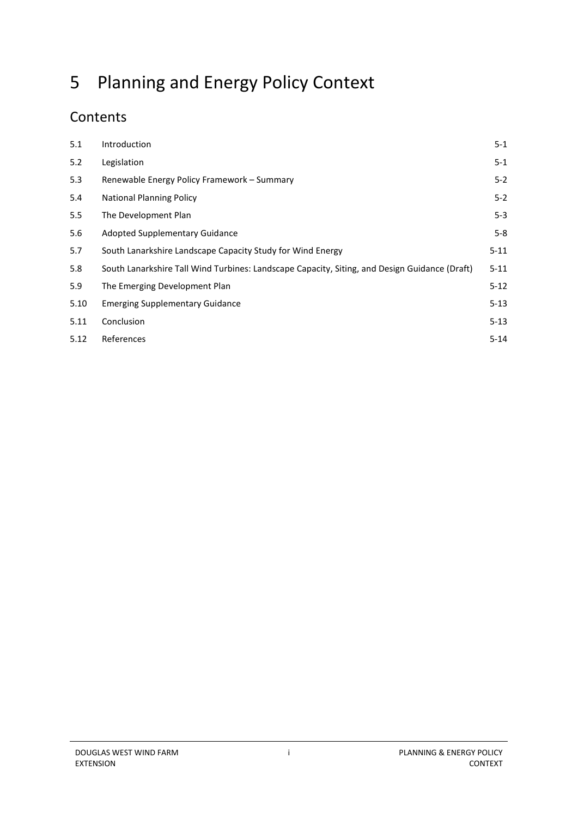# 5 Planning and Energy Policy Context

# **Contents**

| Introduction                                                                                  | $5 - 1$  |
|-----------------------------------------------------------------------------------------------|----------|
| Legislation                                                                                   | $5 - 1$  |
| Renewable Energy Policy Framework - Summary                                                   | $5 - 2$  |
| <b>National Planning Policy</b>                                                               | $5 - 2$  |
| The Development Plan                                                                          | $5 - 3$  |
| <b>Adopted Supplementary Guidance</b>                                                         | $5 - 8$  |
| South Lanarkshire Landscape Capacity Study for Wind Energy                                    | $5 - 11$ |
| South Lanarkshire Tall Wind Turbines: Landscape Capacity, Siting, and Design Guidance (Draft) | $5 - 11$ |
| The Emerging Development Plan                                                                 | $5 - 12$ |
| <b>Emerging Supplementary Guidance</b>                                                        | $5 - 13$ |
| Conclusion                                                                                    | $5 - 13$ |
| References                                                                                    | $5-14$   |
|                                                                                               |          |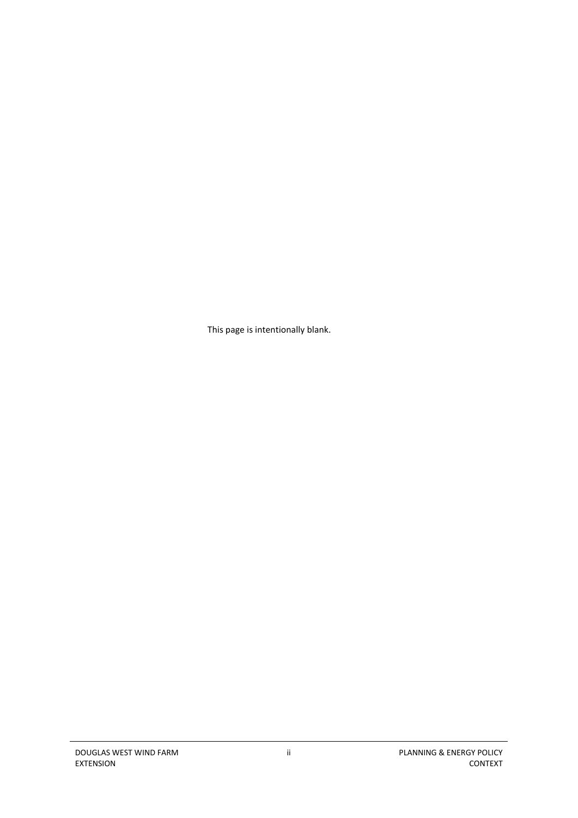This page is intentionally blank.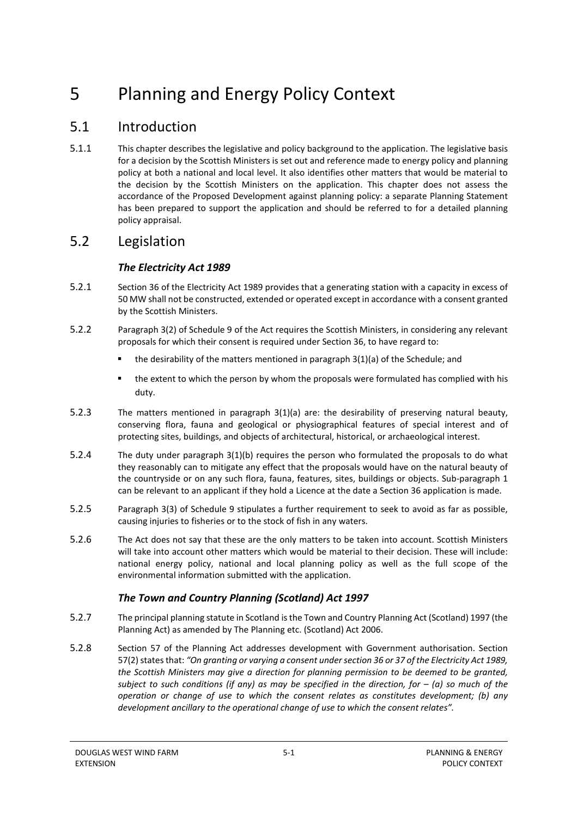# 5 Planning and Energy Policy Context

# <span id="page-2-0"></span>5.1 Introduction

5.1.1 This chapter describes the legislative and policy background to the application. The legislative basis for a decision by the Scottish Ministers is set out and reference made to energy policy and planning policy at both a national and local level. It also identifies other matters that would be material to the decision by the Scottish Ministers on the application. This chapter does not assess the accordance of the Proposed Development against planning policy: a separate Planning Statement has been prepared to support the application and should be referred to for a detailed planning policy appraisal.

### <span id="page-2-1"></span>5.2 Legislation

#### *The Electricity Act 1989*

- 5.2.1 Section 36 of the Electricity Act 1989 provides that a generating station with a capacity in excess of 50 MW shall not be constructed, extended or operated except in accordance with a consent granted by the Scottish Ministers.
- 5.2.2 Paragraph 3(2) of Schedule 9 of the Act requires the Scottish Ministers, in considering any relevant proposals for which their consent is required under Section 36, to have regard to:
	- $\blacksquare$  the desirability of the matters mentioned in paragraph 3(1)(a) of the Schedule; and
	- the extent to which the person by whom the proposals were formulated has complied with his duty.
- 5.2.3 The matters mentioned in paragraph 3(1)(a) are: the desirability of preserving natural beauty, conserving flora, fauna and geological or physiographical features of special interest and of protecting sites, buildings, and objects of architectural, historical, or archaeological interest.
- 5.2.4 The duty under paragraph 3(1)(b) requires the person who formulated the proposals to do what they reasonably can to mitigate any effect that the proposals would have on the natural beauty of the countryside or on any such flora, fauna, features, sites, buildings or objects. Sub-paragraph 1 can be relevant to an applicant if they hold a Licence at the date a Section 36 application is made.
- 5.2.5 Paragraph 3(3) of Schedule 9 stipulates a further requirement to seek to avoid as far as possible, causing injuries to fisheries or to the stock of fish in any waters.
- 5.2.6 The Act does not say that these are the only matters to be taken into account. Scottish Ministers will take into account other matters which would be material to their decision. These will include: national energy policy, national and local planning policy as well as the full scope of the environmental information submitted with the application.

#### *The Town and Country Planning (Scotland) Act 1997*

- 5.2.7 The principal planning statute in Scotland is the Town and Country Planning Act (Scotland) 1997 (the Planning Act) as amended by The Planning etc. (Scotland) Act 2006.
- 5.2.8 Section 57 of the Planning Act addresses development with Government authorisation. Section 57(2) states that: *"On granting or varying a consent under section 36 or 37 of the Electricity Act 1989, the Scottish Ministers may give a direction for planning permission to be deemed to be granted, subject to such conditions (if any) as may be specified in the direction, for – (a) so much of the operation or change of use to which the consent relates as constitutes development; (b) any development ancillary to the operational change of use to which the consent relates".*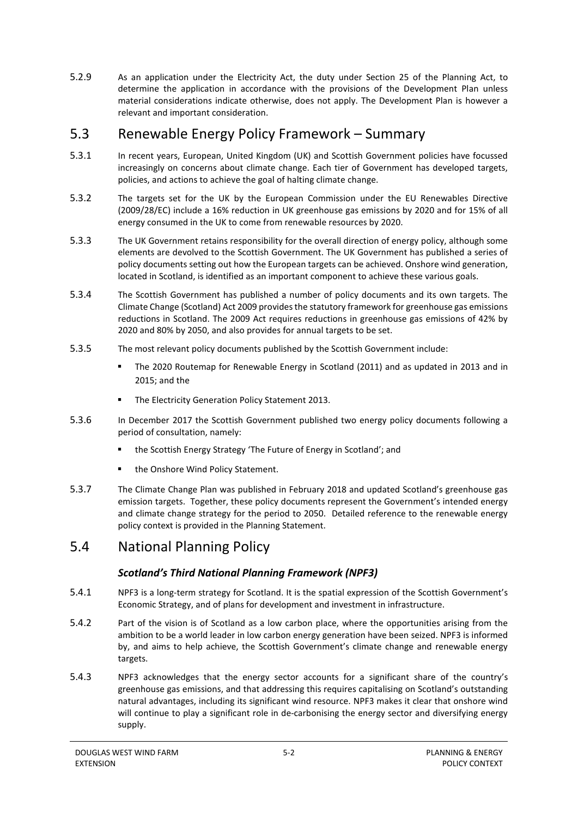5.2.9 As an application under the Electricity Act, the duty under Section 25 of the Planning Act, to determine the application in accordance with the provisions of the Development Plan unless material considerations indicate otherwise, does not apply. The Development Plan is however a relevant and important consideration.

## <span id="page-3-0"></span>5.3 Renewable Energy Policy Framework – Summary

- 5.3.1 In recent years, European, United Kingdom (UK) and Scottish Government policies have focussed increasingly on concerns about climate change. Each tier of Government has developed targets, policies, and actions to achieve the goal of halting climate change.
- 5.3.2 The targets set for the UK by the European Commission under the EU Renewables Directive (2009/28/EC) include a 16% reduction in UK greenhouse gas emissions by 2020 and for 15% of all energy consumed in the UK to come from renewable resources by 2020.
- 5.3.3 The UK Government retains responsibility for the overall direction of energy policy, although some elements are devolved to the Scottish Government. The UK Government has published a series of policy documents setting out how the European targets can be achieved. Onshore wind generation, located in Scotland, is identified as an important component to achieve these various goals.
- 5.3.4 The Scottish Government has published a number of policy documents and its own targets. The Climate Change (Scotland) Act 2009 provides the statutory framework for greenhouse gas emissions reductions in Scotland. The 2009 Act requires reductions in greenhouse gas emissions of 42% by 2020 and 80% by 2050, and also provides for annual targets to be set.
- 5.3.5 The most relevant policy documents published by the Scottish Government include:
	- The 2020 Routemap for Renewable Energy in Scotland (2011) and as updated in 2013 and in 2015; and the
	- **The Electricity Generation Policy Statement 2013.**
- 5.3.6 In December 2017 the Scottish Government published two energy policy documents following a period of consultation, namely:
	- the Scottish Energy Strategy 'The Future of Energy in Scotland'; and
	- the Onshore Wind Policy Statement.
- 5.3.7 The Climate Change Plan was published in February 2018 and updated Scotland's greenhouse gas emission targets. Together, these policy documents represent the Government's intended energy and climate change strategy for the period to 2050. Detailed reference to the renewable energy policy context is provided in the Planning Statement.

# <span id="page-3-1"></span>5.4 National Planning Policy

#### *Scotland's Third National Planning Framework (NPF3)*

- 5.4.1 NPF3 is a long-term strategy for Scotland. It is the spatial expression of the Scottish Government's Economic Strategy, and of plans for development and investment in infrastructure.
- 5.4.2 Part of the vision is of Scotland as a low carbon place, where the opportunities arising from the ambition to be a world leader in low carbon energy generation have been seized. NPF3 is informed by, and aims to help achieve, the Scottish Government's climate change and renewable energy targets.
- 5.4.3 NPF3 acknowledges that the energy sector accounts for a significant share of the country's greenhouse gas emissions, and that addressing this requires capitalising on Scotland's outstanding natural advantages, including its significant wind resource. NPF3 makes it clear that onshore wind will continue to play a significant role in de-carbonising the energy sector and diversifying energy supply.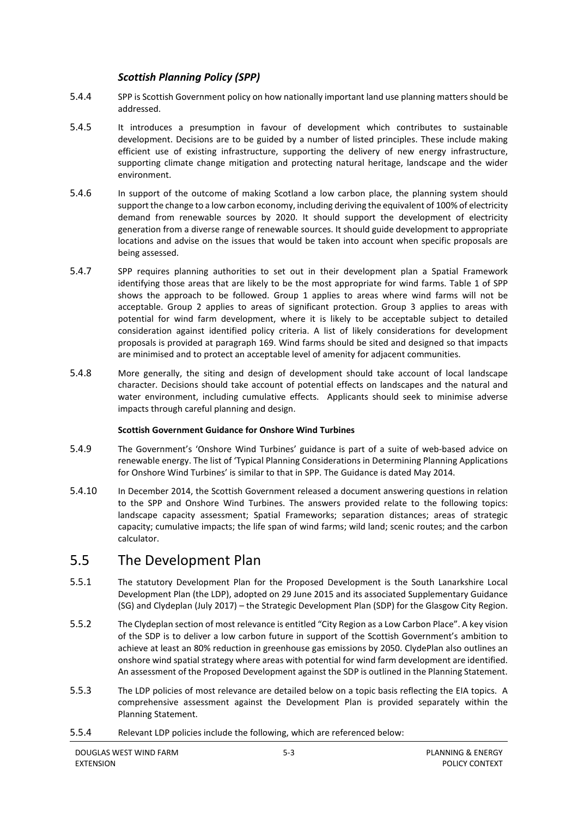#### *Scottish Planning Policy (SPP)*

- 5.4.4 SPP is Scottish Government policy on how nationally important land use planning matters should be addressed.
- 5.4.5 It introduces a presumption in favour of development which contributes to sustainable development. Decisions are to be guided by a number of listed principles. These include making efficient use of existing infrastructure, supporting the delivery of new energy infrastructure, supporting climate change mitigation and protecting natural heritage, landscape and the wider environment.
- 5.4.6 In support of the outcome of making Scotland a low carbon place, the planning system should support the change to a low carbon economy, including deriving the equivalent of 100% of electricity demand from renewable sources by 2020. It should support the development of electricity generation from a diverse range of renewable sources. It should guide development to appropriate locations and advise on the issues that would be taken into account when specific proposals are being assessed.
- 5.4.7 SPP requires planning authorities to set out in their development plan a Spatial Framework identifying those areas that are likely to be the most appropriate for wind farms. Table 1 of SPP shows the approach to be followed. Group 1 applies to areas where wind farms will not be acceptable. Group 2 applies to areas of significant protection. Group 3 applies to areas with potential for wind farm development, where it is likely to be acceptable subject to detailed consideration against identified policy criteria. A list of likely considerations for development proposals is provided at paragraph 169. Wind farms should be sited and designed so that impacts are minimised and to protect an acceptable level of amenity for adjacent communities.
- 5.4.8 More generally, the siting and design of development should take account of local landscape character. Decisions should take account of potential effects on landscapes and the natural and water environment, including cumulative effects. Applicants should seek to minimise adverse impacts through careful planning and design.

#### **Scottish Government Guidance for Onshore Wind Turbines**

- 5.4.9 The Government's 'Onshore Wind Turbines' guidance is part of a suite of web-based advice on renewable energy. The list of 'Typical Planning Considerations in Determining Planning Applications for Onshore Wind Turbines' is similar to that in SPP. The Guidance is dated May 2014.
- 5.4.10 In December 2014, the Scottish Government released a document answering questions in relation to the SPP and Onshore Wind Turbines. The answers provided relate to the following topics: landscape capacity assessment; Spatial Frameworks; separation distances; areas of strategic capacity; cumulative impacts; the life span of wind farms; wild land; scenic routes; and the carbon calculator.

## <span id="page-4-0"></span>5.5 The Development Plan

- 5.5.1 The statutory Development Plan for the Proposed Development is the South Lanarkshire Local Development Plan (the LDP), adopted on 29 June 2015 and its associated Supplementary Guidance (SG) and Clydeplan (July 2017) – the Strategic Development Plan (SDP) for the Glasgow City Region.
- 5.5.2 The Clydeplan section of most relevance is entitled "City Region as a Low Carbon Place". A key vision of the SDP is to deliver a low carbon future in support of the Scottish Government's ambition to achieve at least an 80% reduction in greenhouse gas emissions by 2050. ClydePlan also outlines an onshore wind spatial strategy where areas with potential for wind farm development are identified. An assessment of the Proposed Development against the SDP is outlined in the Planning Statement.
- 5.5.3 The LDP policies of most relevance are detailed below on a topic basis reflecting the EIA topics. A comprehensive assessment against the Development Plan is provided separately within the Planning Statement.
- 5.5.4 Relevant LDP policies include the following, which are referenced below: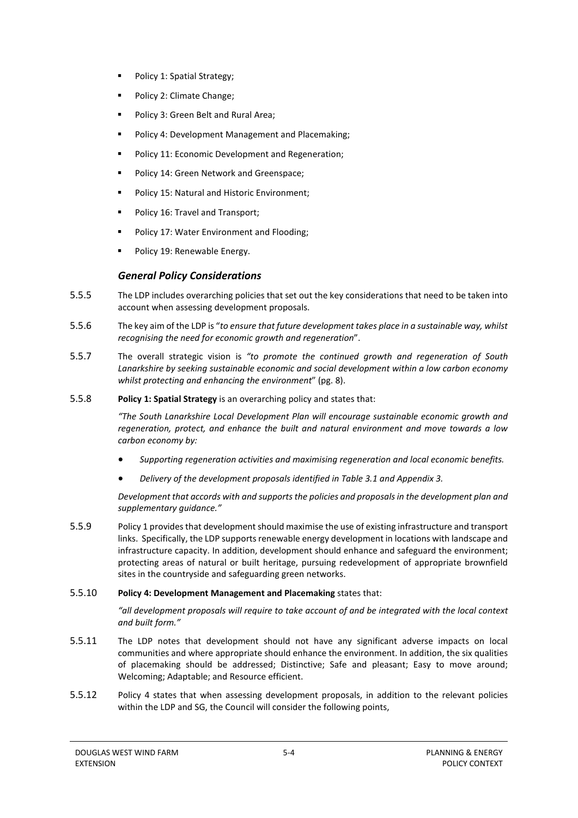- Policy 1: Spatial Strategy;
- Policy 2: Climate Change;
- **Policy 3: Green Belt and Rural Area:**
- **Policy 4: Development Management and Placemaking;**
- **Policy 11: Economic Development and Regeneration;**
- **Policy 14: Green Network and Greenspace;**
- **Policy 15: Natural and Historic Environment;**
- Policy 16: Travel and Transport;
- Policy 17: Water Environment and Flooding;
- Policy 19: Renewable Energy.

#### *General Policy Considerations*

- 5.5.5 The LDP includes overarching policies that set out the key considerations that need to be taken into account when assessing development proposals.
- 5.5.6 The key aim of the LDP is "*to ensure that future development takes place in a sustainable way, whilst recognising the need for economic growth and regeneration*".
- 5.5.7 The overall strategic vision is *"to promote the continued growth and regeneration of South Lanarkshire by seeking sustainable economic and social development within a low carbon economy whilst protecting and enhancing the environment*" (pg. 8).
- 5.5.8 **Policy 1: Spatial Strategy** is an overarching policy and states that:

*"The South Lanarkshire Local Development Plan will encourage sustainable economic growth and regeneration, protect, and enhance the built and natural environment and move towards a low carbon economy by:*

- *Supporting regeneration activities and maximising regeneration and local economic benefits.*
- *Delivery of the development proposals identified in Table 3.1 and Appendix 3.*

*Development that accords with and supports the policies and proposals in the development plan and supplementary guidance."*

5.5.9 Policy 1 provides that development should maximise the use of existing infrastructure and transport links. Specifically, the LDP supports renewable energy development in locations with landscape and infrastructure capacity. In addition, development should enhance and safeguard the environment; protecting areas of natural or built heritage, pursuing redevelopment of appropriate brownfield sites in the countryside and safeguarding green networks.

#### 5.5.10 **Policy 4: Development Management and Placemaking** states that:

*"all development proposals will require to take account of and be integrated with the local context and built form."* 

- 5.5.11 The LDP notes that development should not have any significant adverse impacts on local communities and where appropriate should enhance the environment. In addition, the six qualities of placemaking should be addressed; Distinctive; Safe and pleasant; Easy to move around; Welcoming; Adaptable; and Resource efficient.
- 5.5.12 Policy 4 states that when assessing development proposals, in addition to the relevant policies within the LDP and SG, the Council will consider the following points,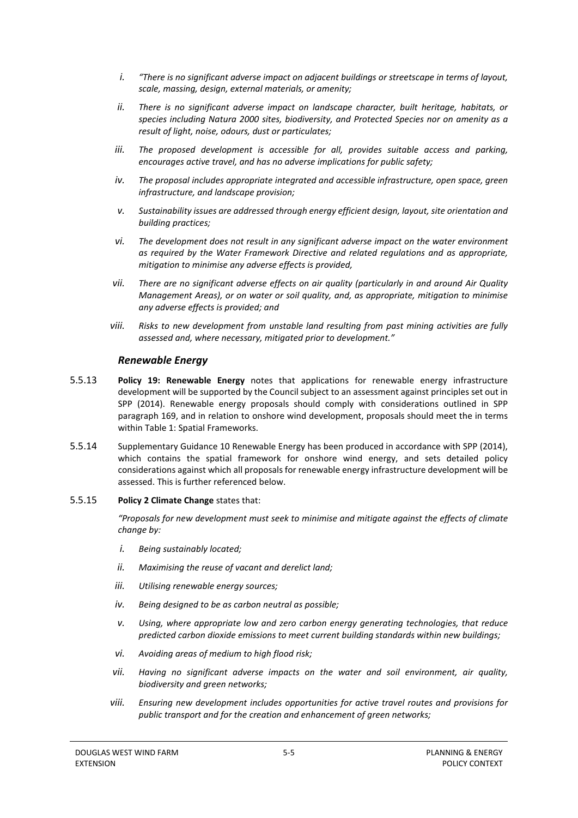- *i. "There is no significant adverse impact on adjacent buildings or streetscape in terms of layout, scale, massing, design, external materials, or amenity;*
- *ii. There is no significant adverse impact on landscape character, built heritage, habitats, or species including Natura 2000 sites, biodiversity, and Protected Species nor on amenity as a result of light, noise, odours, dust or particulates;*
- *iii. The proposed development is accessible for all, provides suitable access and parking, encourages active travel, and has no adverse implications for public safety;*
- *iv. The proposal includes appropriate integrated and accessible infrastructure, open space, green infrastructure, and landscape provision;*
- *v. Sustainability issues are addressed through energy efficient design, layout, site orientation and building practices;*
- *vi. The development does not result in any significant adverse impact on the water environment as required by the Water Framework Directive and related regulations and as appropriate, mitigation to minimise any adverse effects is provided,*
- *vii. There are no significant adverse effects on air quality (particularly in and around Air Quality Management Areas), or on water or soil quality, and, as appropriate, mitigation to minimise any adverse effects is provided; and*
- *viii. Risks to new development from unstable land resulting from past mining activities are fully assessed and, where necessary, mitigated prior to development."*

#### *Renewable Energy*

- 5.5.13 **Policy 19: Renewable Energy** notes that applications for renewable energy infrastructure development will be supported by the Council subject to an assessment against principles set out in SPP (2014). Renewable energy proposals should comply with considerations outlined in SPP paragraph 169, and in relation to onshore wind development, proposals should meet the in terms within Table 1: Spatial Frameworks.
- 5.5.14 Supplementary Guidance 10 Renewable Energy has been produced in accordance with SPP (2014), which contains the spatial framework for onshore wind energy, and sets detailed policy considerations against which all proposals for renewable energy infrastructure development will be assessed. This is further referenced below.

#### 5.5.15 **Policy 2 Climate Change** states that:

*"Proposals for new development must seek to minimise and mitigate against the effects of climate change by:*

- *i. Being sustainably located;*
- *ii. Maximising the reuse of vacant and derelict land;*
- *iii. Utilising renewable energy sources;*
- *iv. Being designed to be as carbon neutral as possible;*
- *v. Using, where appropriate low and zero carbon energy generating technologies, that reduce predicted carbon dioxide emissions to meet current building standards within new buildings;*
- *vi. Avoiding areas of medium to high flood risk;*
- *vii. Having no significant adverse impacts on the water and soil environment, air quality, biodiversity and green networks;*
- *viii. Ensuring new development includes opportunities for active travel routes and provisions for public transport and for the creation and enhancement of green networks;*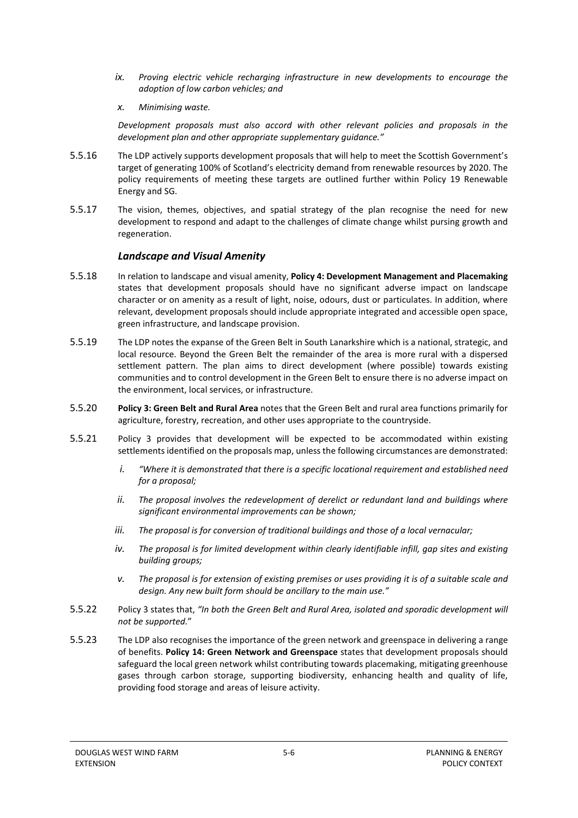- *ix. Proving electric vehicle recharging infrastructure in new developments to encourage the adoption of low carbon vehicles; and*
- *x. Minimising waste.*

*Development proposals must also accord with other relevant policies and proposals in the development plan and other appropriate supplementary guidance."*

- 5.5.16 The LDP actively supports development proposals that will help to meet the Scottish Government's target of generating 100% of Scotland's electricity demand from renewable resources by 2020. The policy requirements of meeting these targets are outlined further within Policy 19 Renewable Energy and SG.
- 5.5.17 The vision, themes, objectives, and spatial strategy of the plan recognise the need for new development to respond and adapt to the challenges of climate change whilst pursing growth and regeneration.

#### *Landscape and Visual Amenity*

- 5.5.18 In relation to landscape and visual amenity, **Policy 4: Development Management and Placemaking** states that development proposals should have no significant adverse impact on landscape character or on amenity as a result of light, noise, odours, dust or particulates. In addition, where relevant, development proposals should include appropriate integrated and accessible open space, green infrastructure, and landscape provision.
- 5.5.19 The LDP notes the expanse of the Green Belt in South Lanarkshire which is a national, strategic, and local resource. Beyond the Green Belt the remainder of the area is more rural with a dispersed settlement pattern. The plan aims to direct development (where possible) towards existing communities and to control development in the Green Belt to ensure there is no adverse impact on the environment, local services, or infrastructure.
- 5.5.20 **Policy 3: Green Belt and Rural Area** notes that the Green Belt and rural area functions primarily for agriculture, forestry, recreation, and other uses appropriate to the countryside.
- 5.5.21 Policy 3 provides that development will be expected to be accommodated within existing settlements identified on the proposals map, unless the following circumstances are demonstrated:
	- *i. "Where it is demonstrated that there is a specific locational requirement and established need for a proposal;*
	- *ii. The proposal involves the redevelopment of derelict or redundant land and buildings where significant environmental improvements can be shown;*
	- *iii. The proposal is for conversion of traditional buildings and those of a local vernacular;*
	- *iv. The proposal is for limited development within clearly identifiable infill, gap sites and existing building groups;*
	- *v. The proposal is for extension of existing premises or uses providing it is of a suitable scale and design. Any new built form should be ancillary to the main use."*
- 5.5.22 Policy 3 states that, *"In both the Green Belt and Rural Area, isolated and sporadic development will not be supported.*"
- 5.5.23 The LDP also recognises the importance of the green network and greenspace in delivering a range of benefits. **Policy 14: Green Network and Greenspace** states that development proposals should safeguard the local green network whilst contributing towards placemaking, mitigating greenhouse gases through carbon storage, supporting biodiversity, enhancing health and quality of life, providing food storage and areas of leisure activity.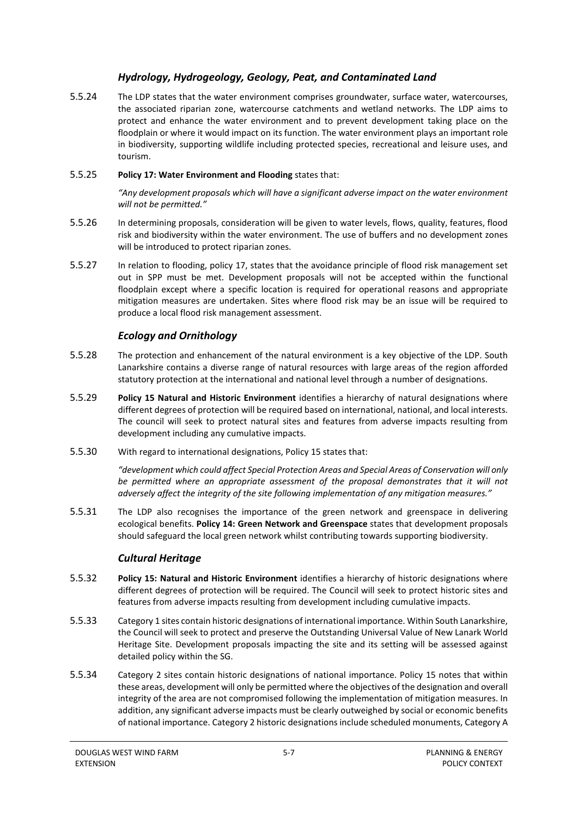#### *Hydrology, Hydrogeology, Geology, Peat, and Contaminated Land*

5.5.24 The LDP states that the water environment comprises groundwater, surface water, watercourses, the associated riparian zone, watercourse catchments and wetland networks. The LDP aims to protect and enhance the water environment and to prevent development taking place on the floodplain or where it would impact on its function. The water environment plays an important role in biodiversity, supporting wildlife including protected species, recreational and leisure uses, and tourism.

#### 5.5.25 **Policy 17: Water Environment and Flooding** states that:

*"Any development proposals which will have a significant adverse impact on the water environment will not be permitted."* 

- 5.5.26 In determining proposals, consideration will be given to water levels, flows, quality, features, flood risk and biodiversity within the water environment. The use of buffers and no development zones will be introduced to protect riparian zones.
- 5.5.27 In relation to flooding, policy 17, states that the avoidance principle of flood risk management set out in SPP must be met. Development proposals will not be accepted within the functional floodplain except where a specific location is required for operational reasons and appropriate mitigation measures are undertaken. Sites where flood risk may be an issue will be required to produce a local flood risk management assessment.

#### *Ecology and Ornithology*

- 5.5.28 The protection and enhancement of the natural environment is a key objective of the LDP. South Lanarkshire contains a diverse range of natural resources with large areas of the region afforded statutory protection at the international and national level through a number of designations.
- 5.5.29 **Policy 15 Natural and Historic Environment** identifies a hierarchy of natural designations where different degrees of protection will be required based on international, national, and local interests. The council will seek to protect natural sites and features from adverse impacts resulting from development including any cumulative impacts.
- 5.5.30 With regard to international designations, Policy 15 states that:

*"development which could affect Special Protection Areas and Special Areas of Conservation will only*  be permitted where an appropriate assessment of the proposal demonstrates that it will not *adversely affect the integrity of the site following implementation of any mitigation measures."*

5.5.31 The LDP also recognises the importance of the green network and greenspace in delivering ecological benefits. **Policy 14: Green Network and Greenspace** states that development proposals should safeguard the local green network whilst contributing towards supporting biodiversity.

#### *Cultural Heritage*

- 5.5.32 **Policy 15: Natural and Historic Environment** identifies a hierarchy of historic designations where different degrees of protection will be required. The Council will seek to protect historic sites and features from adverse impacts resulting from development including cumulative impacts.
- 5.5.33 Category 1 sites contain historic designations of international importance. Within South Lanarkshire, the Council will seek to protect and preserve the Outstanding Universal Value of New Lanark World Heritage Site. Development proposals impacting the site and its setting will be assessed against detailed policy within the SG.
- 5.5.34 Category 2 sites contain historic designations of national importance. Policy 15 notes that within these areas, development will only be permitted where the objectives of the designation and overall integrity of the area are not compromised following the implementation of mitigation measures. In addition, any significant adverse impacts must be clearly outweighed by social or economic benefits of national importance. Category 2 historic designations include scheduled monuments, Category A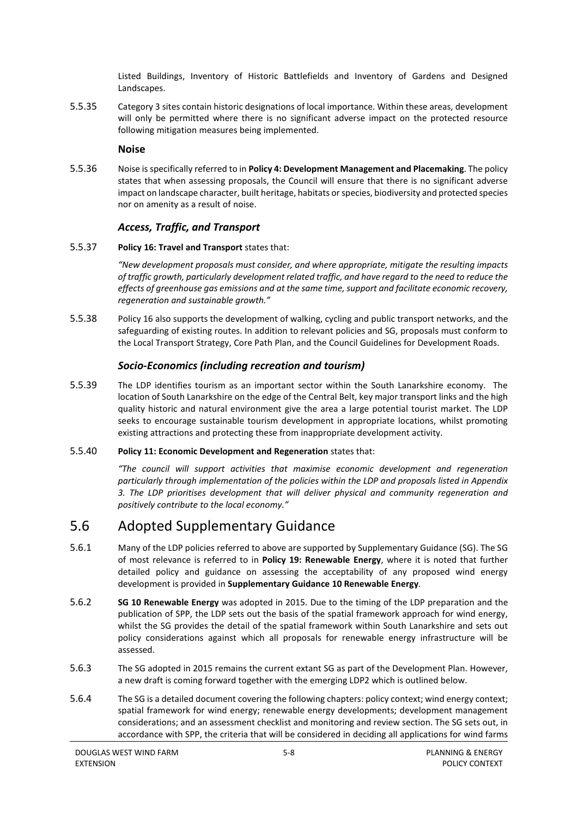Listed Buildings, Inventory of Historic Battlefields and Inventory of Gardens and Designed Landscapes.

5.5.35 Category 3 sites contain historic designations of local importance. Within these areas, development will only be permitted where there is no significant adverse impact on the protected resource following mitigation measures being implemented.

#### **Noise**

5.5.36 Noise is specifically referred to in **Policy 4: Development Management and Placemaking**. The policy states that when assessing proposals, the Council will ensure that there is no significant adverse impact on landscape character, built heritage, habitats or species, biodiversity and protected species nor on amenity as a result of noise.

#### *Access, Traffic, and Transport*

#### 5.5.37 **Policy 16: Travel and Transport** states that:

*"New development proposals must consider, and where appropriate, mitigate the resulting impacts of traffic growth, particularly development related traffic, and have regard to the need to reduce the effects of greenhouse gas emissions and at the same time, support and facilitate economic recovery, regeneration and sustainable growth."*

5.5.38 Policy 16 also supports the development of walking, cycling and public transport networks, and the safeguarding of existing routes. In addition to relevant policies and SG, proposals must conform to the Local Transport Strategy, Core Path Plan, and the Council Guidelines for Development Roads.

#### *Socio-Economics (including recreation and tourism)*

5.5.39 The LDP identifies tourism as an important sector within the South Lanarkshire economy. The location of South Lanarkshire on the edge of the Central Belt, key major transport links and the high quality historic and natural environment give the area a large potential tourist market. The LDP seeks to encourage sustainable tourism development in appropriate locations, whilst promoting existing attractions and protecting these from inappropriate development activity.

#### 5.5.40 **Policy 11: Economic Development and Regeneration** states that:

*"The council will support activities that maximise economic development and regeneration particularly through implementation of the policies within the LDP and proposals listed in Appendix 3. The LDP prioritises development that will deliver physical and community regeneration and positively contribute to the local economy."*

## <span id="page-9-0"></span>5.6 Adopted Supplementary Guidance

- 5.6.1 Many of the LDP policies referred to above are supported by Supplementary Guidance (SG). The SG of most relevance is referred to in **Policy 19: Renewable Energy**, where it is noted that further detailed policy and guidance on assessing the acceptability of any proposed wind energy development is provided in **Supplementary Guidance 10 Renewable Energy**.
- 5.6.2 **SG 10 Renewable Energy** was adopted in 2015. Due to the timing of the LDP preparation and the publication of SPP, the LDP sets out the basis of the spatial framework approach for wind energy, whilst the SG provides the detail of the spatial framework within South Lanarkshire and sets out policy considerations against which all proposals for renewable energy infrastructure will be assessed.
- 5.6.3 The SG adopted in 2015 remains the current extant SG as part of the Development Plan. However, a new draft is coming forward together with the emerging LDP2 which is outlined below.
- 5.6.4 The SG is a detailed document covering the following chapters: policy context; wind energy context; spatial framework for wind energy; renewable energy developments; development management considerations; and an assessment checklist and monitoring and review section. The SG sets out, in accordance with SPP, the criteria that will be considered in deciding all applications for wind farms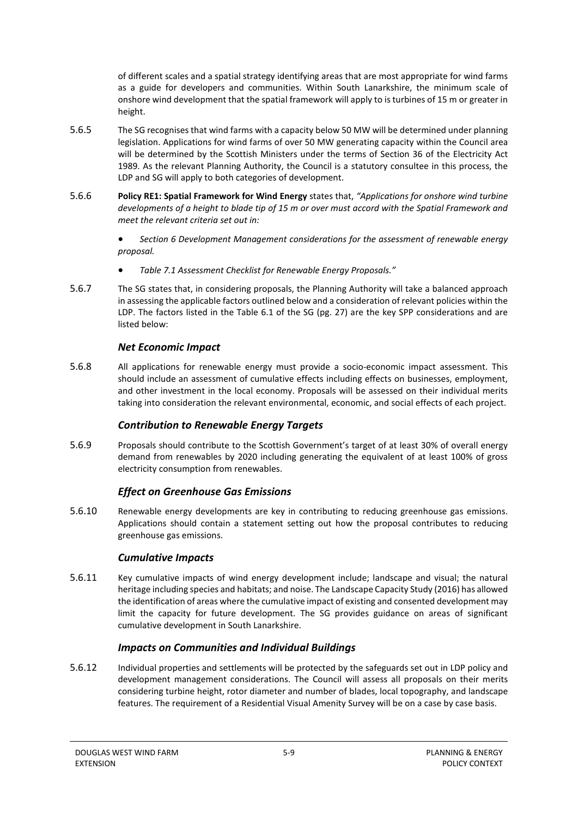of different scales and a spatial strategy identifying areas that are most appropriate for wind farms as a guide for developers and communities. Within South Lanarkshire, the minimum scale of onshore wind development that the spatial framework will apply to is turbines of 15 m or greater in height.

- 5.6.5 The SG recognises that wind farms with a capacity below 50 MW will be determined under planning legislation. Applications for wind farms of over 50 MW generating capacity within the Council area will be determined by the Scottish Ministers under the terms of Section 36 of the Electricity Act 1989. As the relevant Planning Authority, the Council is a statutory consultee in this process, the LDP and SG will apply to both categories of development.
- 5.6.6 **Policy RE1: Spatial Framework for Wind Energy** states that, *"Applications for onshore wind turbine developments of a height to blade tip of 15 m or over must accord with the Spatial Framework and meet the relevant criteria set out in:*

• *Section 6 Development Management considerations for the assessment of renewable energy proposal.*

- *Table 7.1 Assessment Checklist for Renewable Energy Proposals."*
- 5.6.7 The SG states that, in considering proposals, the Planning Authority will take a balanced approach in assessing the applicable factors outlined below and a consideration of relevant policies within the LDP. The factors listed in the Table 6.1 of the SG (pg. 27) are the key SPP considerations and are listed below:

#### *Net Economic Impact*

5.6.8 All applications for renewable energy must provide a socio-economic impact assessment. This should include an assessment of cumulative effects including effects on businesses, employment, and other investment in the local economy. Proposals will be assessed on their individual merits taking into consideration the relevant environmental, economic, and social effects of each project.

#### *Contribution to Renewable Energy Targets*

5.6.9 Proposals should contribute to the Scottish Government's target of at least 30% of overall energy demand from renewables by 2020 including generating the equivalent of at least 100% of gross electricity consumption from renewables.

#### *Effect on Greenhouse Gas Emissions*

5.6.10 Renewable energy developments are key in contributing to reducing greenhouse gas emissions. Applications should contain a statement setting out how the proposal contributes to reducing greenhouse gas emissions.

#### *Cumulative Impacts*

5.6.11 Key cumulative impacts of wind energy development include; landscape and visual; the natural heritage including species and habitats; and noise. The Landscape Capacity Study (2016) has allowed the identification of areas where the cumulative impact of existing and consented development may limit the capacity for future development. The SG provides guidance on areas of significant cumulative development in South Lanarkshire.

#### *Impacts on Communities and Individual Buildings*

5.6.12 Individual properties and settlements will be protected by the safeguards set out in LDP policy and development management considerations. The Council will assess all proposals on their merits considering turbine height, rotor diameter and number of blades, local topography, and landscape features. The requirement of a Residential Visual Amenity Survey will be on a case by case basis.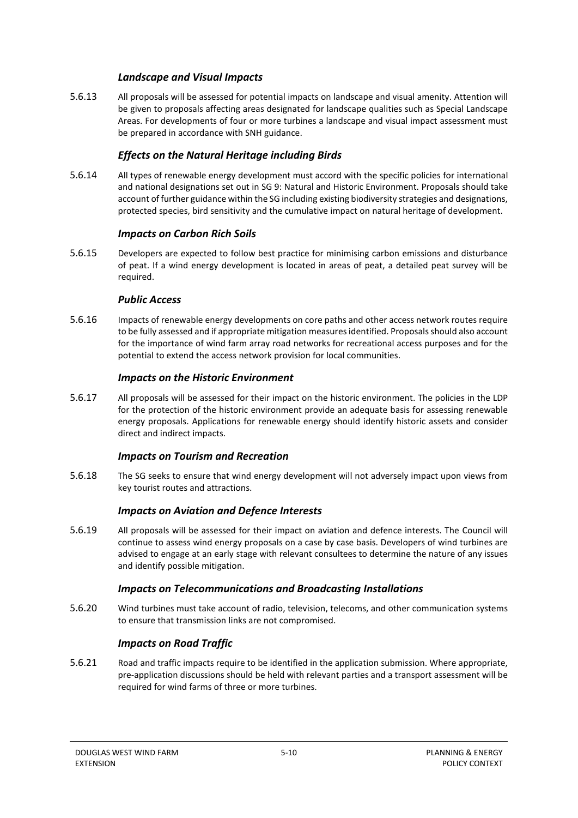#### *Landscape and Visual Impacts*

5.6.13 All proposals will be assessed for potential impacts on landscape and visual amenity. Attention will be given to proposals affecting areas designated for landscape qualities such as Special Landscape Areas. For developments of four or more turbines a landscape and visual impact assessment must be prepared in accordance with SNH guidance.

#### *Effects on the Natural Heritage including Birds*

5.6.14 All types of renewable energy development must accord with the specific policies for international and national designations set out in SG 9: Natural and Historic Environment. Proposals should take account of further guidance within the SG including existing biodiversity strategies and designations, protected species, bird sensitivity and the cumulative impact on natural heritage of development.

#### *Impacts on Carbon Rich Soils*

5.6.15 Developers are expected to follow best practice for minimising carbon emissions and disturbance of peat. If a wind energy development is located in areas of peat, a detailed peat survey will be required.

#### *Public Access*

5.6.16 Impacts of renewable energy developments on core paths and other access network routes require to be fully assessed and if appropriate mitigation measures identified. Proposals should also account for the importance of wind farm array road networks for recreational access purposes and for the potential to extend the access network provision for local communities.

#### *Impacts on the Historic Environment*

5.6.17 All proposals will be assessed for their impact on the historic environment. The policies in the LDP for the protection of the historic environment provide an adequate basis for assessing renewable energy proposals. Applications for renewable energy should identify historic assets and consider direct and indirect impacts.

#### *Impacts on Tourism and Recreation*

5.6.18 The SG seeks to ensure that wind energy development will not adversely impact upon views from key tourist routes and attractions.

#### *Impacts on Aviation and Defence Interests*

5.6.19 All proposals will be assessed for their impact on aviation and defence interests. The Council will continue to assess wind energy proposals on a case by case basis. Developers of wind turbines are advised to engage at an early stage with relevant consultees to determine the nature of any issues and identify possible mitigation.

#### *Impacts on Telecommunications and Broadcasting Installations*

5.6.20 Wind turbines must take account of radio, television, telecoms, and other communication systems to ensure that transmission links are not compromised.

#### *Impacts on Road Traffic*

5.6.21 Road and traffic impacts require to be identified in the application submission. Where appropriate, pre-application discussions should be held with relevant parties and a transport assessment will be required for wind farms of three or more turbines.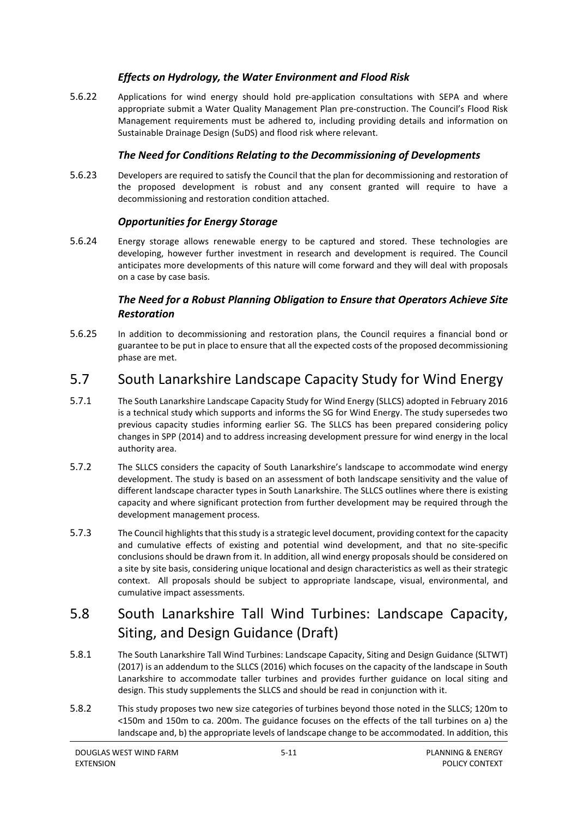#### *Effects on Hydrology, the Water Environment and Flood Risk*

5.6.22 Applications for wind energy should hold pre-application consultations with SEPA and where appropriate submit a Water Quality Management Plan pre-construction. The Council's Flood Risk Management requirements must be adhered to, including providing details and information on Sustainable Drainage Design (SuDS) and flood risk where relevant.

#### *The Need for Conditions Relating to the Decommissioning of Developments*

5.6.23 Developers are required to satisfy the Council that the plan for decommissioning and restoration of the proposed development is robust and any consent granted will require to have a decommissioning and restoration condition attached.

#### *Opportunities for Energy Storage*

5.6.24 Energy storage allows renewable energy to be captured and stored. These technologies are developing, however further investment in research and development is required. The Council anticipates more developments of this nature will come forward and they will deal with proposals on a case by case basis.

#### *The Need for a Robust Planning Obligation to Ensure that Operators Achieve Site Restoration*

5.6.25 In addition to decommissioning and restoration plans, the Council requires a financial bond or guarantee to be put in place to ensure that all the expected costs of the proposed decommissioning phase are met.

# <span id="page-12-0"></span>5.7 South Lanarkshire Landscape Capacity Study for Wind Energy

- 5.7.1 The South Lanarkshire Landscape Capacity Study for Wind Energy (SLLCS) adopted in February 2016 is a technical study which supports and informs the SG for Wind Energy. The study supersedes two previous capacity studies informing earlier SG. The SLLCS has been prepared considering policy changes in SPP (2014) and to address increasing development pressure for wind energy in the local authority area.
- 5.7.2 The SLLCS considers the capacity of South Lanarkshire's landscape to accommodate wind energy development. The study is based on an assessment of both landscape sensitivity and the value of different landscape character types in South Lanarkshire. The SLLCS outlines where there is existing capacity and where significant protection from further development may be required through the development management process.
- 5.7.3 The Council highlights that this study is a strategic level document, providing context for the capacity and cumulative effects of existing and potential wind development, and that no site-specific conclusions should be drawn from it. In addition, all wind energy proposals should be considered on a site by site basis, considering unique locational and design characteristics as well as their strategic context. All proposals should be subject to appropriate landscape, visual, environmental, and cumulative impact assessments.

# <span id="page-12-1"></span>5.8 South Lanarkshire Tall Wind Turbines: Landscape Capacity, Siting, and Design Guidance (Draft)

- 5.8.1 The South Lanarkshire Tall Wind Turbines: Landscape Capacity, Siting and Design Guidance (SLTWT) (2017) is an addendum to the SLLCS (2016) which focuses on the capacity of the landscape in South Lanarkshire to accommodate taller turbines and provides further guidance on local siting and design. This study supplements the SLLCS and should be read in conjunction with it.
- 5.8.2 This study proposes two new size categories of turbines beyond those noted in the SLLCS; 120m to <150m and 150m to ca. 200m. The guidance focuses on the effects of the tall turbines on a) the landscape and, b) the appropriate levels of landscape change to be accommodated. In addition, this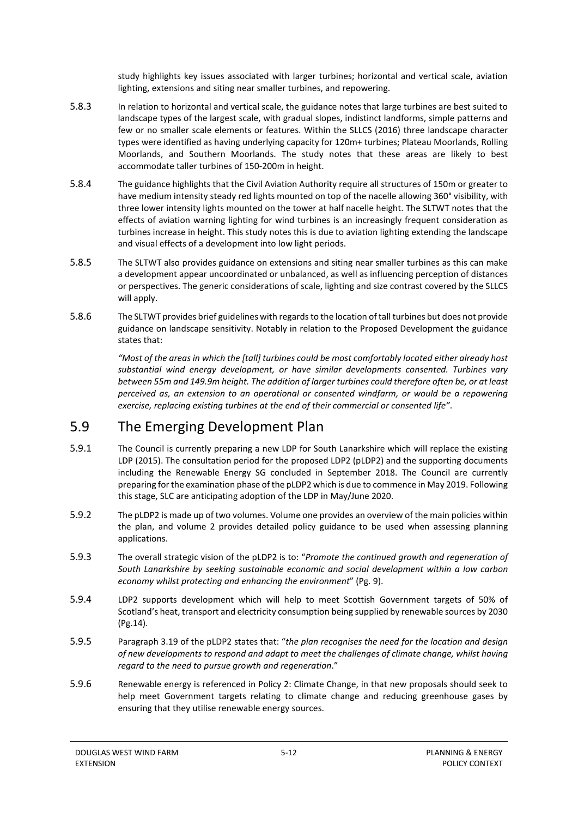study highlights key issues associated with larger turbines; horizontal and vertical scale, aviation lighting, extensions and siting near smaller turbines, and repowering.

- 5.8.3 In relation to horizontal and vertical scale, the guidance notes that large turbines are best suited to landscape types of the largest scale, with gradual slopes, indistinct landforms, simple patterns and few or no smaller scale elements or features. Within the SLLCS (2016) three landscape character types were identified as having underlying capacity for 120m+ turbines; Plateau Moorlands, Rolling Moorlands, and Southern Moorlands. The study notes that these areas are likely to best accommodate taller turbines of 150-200m in height.
- 5.8.4 The guidance highlights that the Civil Aviation Authority require all structures of 150m or greater to have medium intensity steady red lights mounted on top of the nacelle allowing 360° visibility, with three lower intensity lights mounted on the tower at half nacelle height. The SLTWT notes that the effects of aviation warning lighting for wind turbines is an increasingly frequent consideration as turbines increase in height. This study notes this is due to aviation lighting extending the landscape and visual effects of a development into low light periods.
- 5.8.5 The SLTWT also provides guidance on extensions and siting near smaller turbines as this can make a development appear uncoordinated or unbalanced, as well as influencing perception of distances or perspectives. The generic considerations of scale, lighting and size contrast covered by the SLLCS will apply.
- 5.8.6 The SLTWT provides brief guidelines with regards to the location of tall turbines but does not provide guidance on landscape sensitivity. Notably in relation to the Proposed Development the guidance states that:

*"Most of the areas in which the [tall] turbines could be most comfortably located either already host substantial wind energy development, or have similar developments consented. Turbines vary between 55m and 149.9m height. The addition of larger turbines could therefore often be, or at least perceived as, an extension to an operational or consented windfarm, or would be a repowering exercise, replacing existing turbines at the end of their commercial or consented life"*.

# <span id="page-13-0"></span>5.9 The Emerging Development Plan

- 5.9.1 The Council is currently preparing a new LDP for South Lanarkshire which will replace the existing LDP (2015). The consultation period for the proposed LDP2 (pLDP2) and the supporting documents including the Renewable Energy SG concluded in September 2018. The Council are currently preparing for the examination phase of the pLDP2 which is due to commence in May 2019. Following this stage, SLC are anticipating adoption of the LDP in May/June 2020.
- 5.9.2 The pLDP2 is made up of two volumes. Volume one provides an overview of the main policies within the plan, and volume 2 provides detailed policy guidance to be used when assessing planning applications.
- 5.9.3 The overall strategic vision of the pLDP2 is to: "*Promote the continued growth and regeneration of South Lanarkshire by seeking sustainable economic and social development within a low carbon economy whilst protecting and enhancing the environment*" (Pg. 9).
- 5.9.4 LDP2 supports development which will help to meet Scottish Government targets of 50% of Scotland's heat, transport and electricity consumption being supplied by renewable sources by 2030 (Pg.14).
- 5.9.5 Paragraph 3.19 of the pLDP2 states that: "*the plan recognises the need for the location and design of new developments to respond and adapt to meet the challenges of climate change, whilst having regard to the need to pursue growth and regeneration*."
- 5.9.6 Renewable energy is referenced in Policy 2: Climate Change, in that new proposals should seek to help meet Government targets relating to climate change and reducing greenhouse gases by ensuring that they utilise renewable energy sources.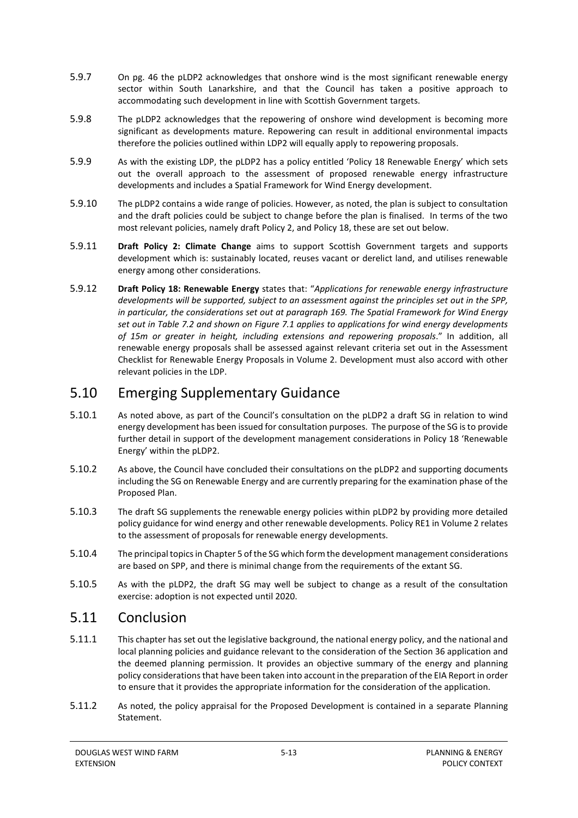- 5.9.7 On pg. 46 the pLDP2 acknowledges that onshore wind is the most significant renewable energy sector within South Lanarkshire, and that the Council has taken a positive approach to accommodating such development in line with Scottish Government targets.
- 5.9.8 The pLDP2 acknowledges that the repowering of onshore wind development is becoming more significant as developments mature. Repowering can result in additional environmental impacts therefore the policies outlined within LDP2 will equally apply to repowering proposals.
- 5.9.9 As with the existing LDP, the pLDP2 has a policy entitled 'Policy 18 Renewable Energy' which sets out the overall approach to the assessment of proposed renewable energy infrastructure developments and includes a Spatial Framework for Wind Energy development.
- 5.9.10 The pLDP2 contains a wide range of policies. However, as noted, the plan is subject to consultation and the draft policies could be subject to change before the plan is finalised. In terms of the two most relevant policies, namely draft Policy 2, and Policy 18, these are set out below.
- 5.9.11 **Draft Policy 2: Climate Change** aims to support Scottish Government targets and supports development which is: sustainably located, reuses vacant or derelict land, and utilises renewable energy among other considerations.
- 5.9.12 **Draft Policy 18: Renewable Energy** states that: "*Applications for renewable energy infrastructure developments will be supported, subject to an assessment against the principles set out in the SPP, in particular, the considerations set out at paragraph 169. The Spatial Framework for Wind Energy set out in Table 7.2 and shown on Figure 7.1 applies to applications for wind energy developments of 15m or greater in height, including extensions and repowering proposals*." In addition, all renewable energy proposals shall be assessed against relevant criteria set out in the Assessment Checklist for Renewable Energy Proposals in Volume 2. Development must also accord with other relevant policies in the LDP.

# <span id="page-14-0"></span>5.10 Emerging Supplementary Guidance

- 5.10.1 As noted above, as part of the Council's consultation on the pLDP2 a draft SG in relation to wind energy development has been issued for consultation purposes. The purpose of the SG is to provide further detail in support of the development management considerations in Policy 18 'Renewable Energy' within the pLDP2.
- 5.10.2 As above, the Council have concluded their consultations on the pLDP2 and supporting documents including the SG on Renewable Energy and are currently preparing for the examination phase of the Proposed Plan.
- 5.10.3 The draft SG supplements the renewable energy policies within pLDP2 by providing more detailed policy guidance for wind energy and other renewable developments. Policy RE1 in Volume 2 relates to the assessment of proposals for renewable energy developments.
- 5.10.4 The principal topics in Chapter 5 of the SG which form the development management considerations are based on SPP, and there is minimal change from the requirements of the extant SG.
- 5.10.5 As with the pLDP2, the draft SG may well be subject to change as a result of the consultation exercise: adoption is not expected until 2020.

## <span id="page-14-1"></span>5.11 Conclusion

- 5.11.1 This chapter has set out the legislative background, the national energy policy, and the national and local planning policies and guidance relevant to the consideration of the Section 36 application and the deemed planning permission. It provides an objective summary of the energy and planning policy considerations that have been taken into account in the preparation of the EIA Report in order to ensure that it provides the appropriate information for the consideration of the application.
- 5.11.2 As noted, the policy appraisal for the Proposed Development is contained in a separate Planning Statement.